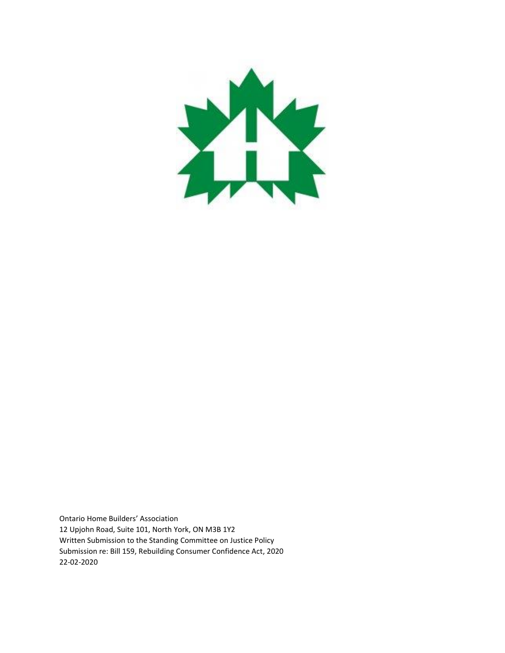

Ontario Home Builders' Association 12 Upjohn Road, Suite 101, North York, ON M3B 1Y2 Written Submission to the Standing Committee on Justice Policy Submission re: Bill 159, Rebuilding Consumer Confidence Act, 2020 22-02-2020